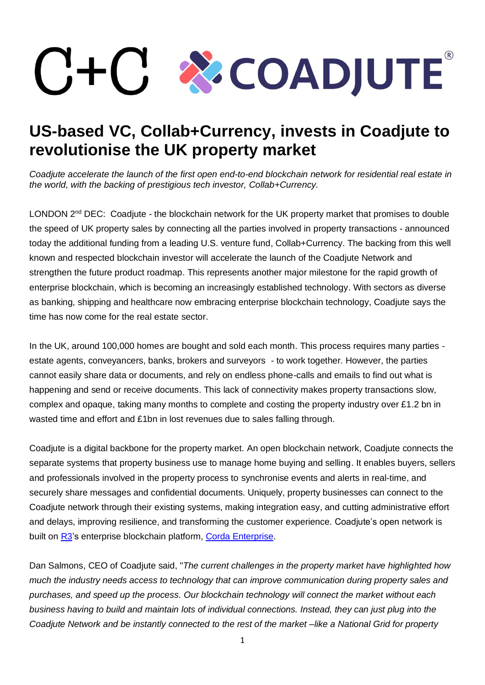## **ECADJUTE®**

## **US-based VC, Collab+Currency, invests in Coadjute to revolutionise the UK property market**

*Coadjute accelerate the launch of the first open end-to-end blockchain network for residential real estate in the world, with the backing of prestigious tech investor, Collab+Currency.*

LONDON  $2^{nd}$  DEC: Coadjute - the blockchain network for the UK property market that promises to double the speed of UK property sales by connecting all the parties involved in property transactions - announced today the additional funding from a leading U.S. venture fund, Collab+Currency. The backing from this well known and respected blockchain investor will accelerate the launch of the Coadjute Network and strengthen the future product roadmap. This represents another major milestone for the rapid growth of enterprise blockchain, which is becoming an increasingly established technology. With sectors as diverse as banking, shipping and healthcare now embracing enterprise blockchain technology, Coadjute says the time has now come for the real estate sector.

In the UK, around 100,000 homes are bought and sold each month. This process requires many parties estate agents, conveyancers, banks, brokers and surveyors - to work together. However, the parties cannot easily share data or documents, and rely on endless phone-calls and emails to find out what is happening and send or receive documents. This lack of connectivity makes property transactions slow, complex and opaque, taking many months to complete and costing the property industry over £1.2 bn in wasted time and effort and £1bn in lost revenues due to sales falling through.

Coadjute is a digital backbone for the property market. An open blockchain network, Coadjute connects the separate systems that property business use to manage home buying and selling. It enables buyers, sellers and professionals involved in the property process to synchronise events and alerts in real-time, and securely share messages and confidential documents. Uniquely, property businesses can connect to the Coadjute network through their existing systems, making integration easy, and cutting administrative effort and delays, improving resilience, and transforming the customer experience. Coadjute's open network is built on [R3](https://www.r3.com/)'s enterprise blockchain platform, [Corda Enterprise.](mailto:https://www.corda.net/?gclid=Cj0KCQjwwOz6BRCgARIsAKEG4FWY_9btuyKw_8gYAZenfKG6Ru0CKf04BG8AVfrJG8os1ZE_CYz8DcIaAm6-EALw_wcB)

Dan Salmons, CEO of Coadjute said, "*The current challenges in the property market have highlighted how much the industry needs access to technology that can improve communication during property sales and purchases, and speed up the process. Our blockchain technology will connect the market without each business having to build and maintain lots of individual connections. Instead, they can just plug into the Coadjute Network and be instantly connected to the rest of the market –like a National Grid for property*